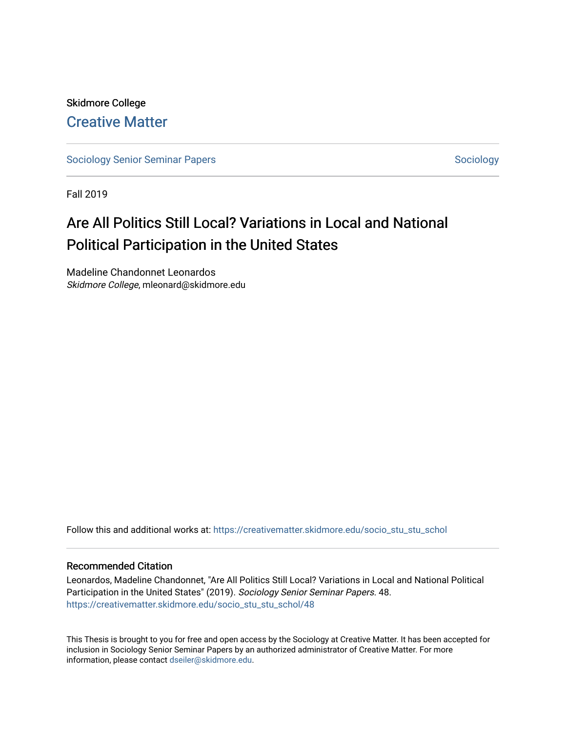# Skidmore College [Creative Matter](https://creativematter.skidmore.edu/)

[Sociology Senior Seminar Papers](https://creativematter.skidmore.edu/socio_stu_stu_schol) [Sociology](https://creativematter.skidmore.edu/stu_schol_socio_stu) Senior Seminar Papers Sociology

Fall 2019

# Are All Politics Still Local? Variations in Local and National Political Participation in the United States

Madeline Chandonnet Leonardos Skidmore College, mleonard@skidmore.edu

Follow this and additional works at: [https://creativematter.skidmore.edu/socio\\_stu\\_stu\\_schol](https://creativematter.skidmore.edu/socio_stu_stu_schol?utm_source=creativematter.skidmore.edu%2Fsocio_stu_stu_schol%2F48&utm_medium=PDF&utm_campaign=PDFCoverPages) 

#### Recommended Citation

Leonardos, Madeline Chandonnet, "Are All Politics Still Local? Variations in Local and National Political Participation in the United States" (2019). Sociology Senior Seminar Papers. 48. [https://creativematter.skidmore.edu/socio\\_stu\\_stu\\_schol/48](https://creativematter.skidmore.edu/socio_stu_stu_schol/48?utm_source=creativematter.skidmore.edu%2Fsocio_stu_stu_schol%2F48&utm_medium=PDF&utm_campaign=PDFCoverPages)

This Thesis is brought to you for free and open access by the Sociology at Creative Matter. It has been accepted for inclusion in Sociology Senior Seminar Papers by an authorized administrator of Creative Matter. For more information, please contact [dseiler@skidmore.edu.](mailto:dseiler@skidmore.edu)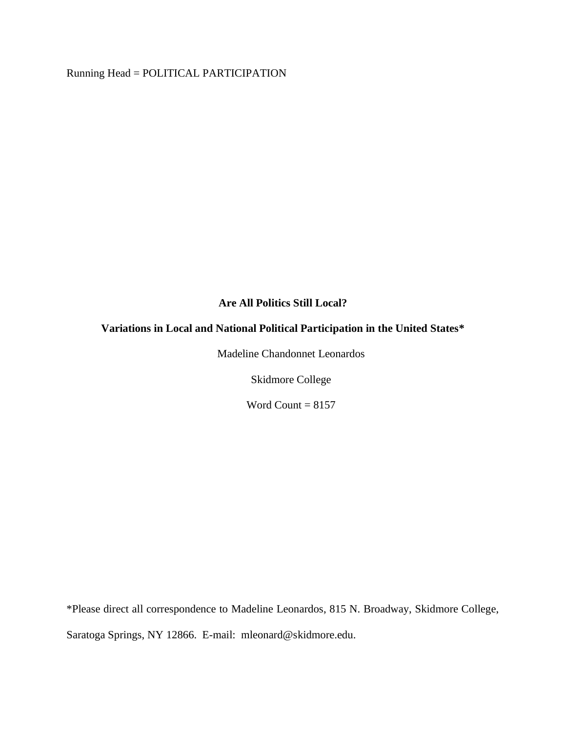Running Head = POLITICAL PARTICIPATION

## **Are All Politics Still Local?**

## **Variations in Local and National Political Participation in the United States\***

Madeline Chandonnet Leonardos

Skidmore College

Word Count  $= 8157$ 

\*Please direct all correspondence to Madeline Leonardos, 815 N. Broadway, Skidmore College, Saratoga Springs, NY 12866. E-mail: mleonard@skidmore.edu.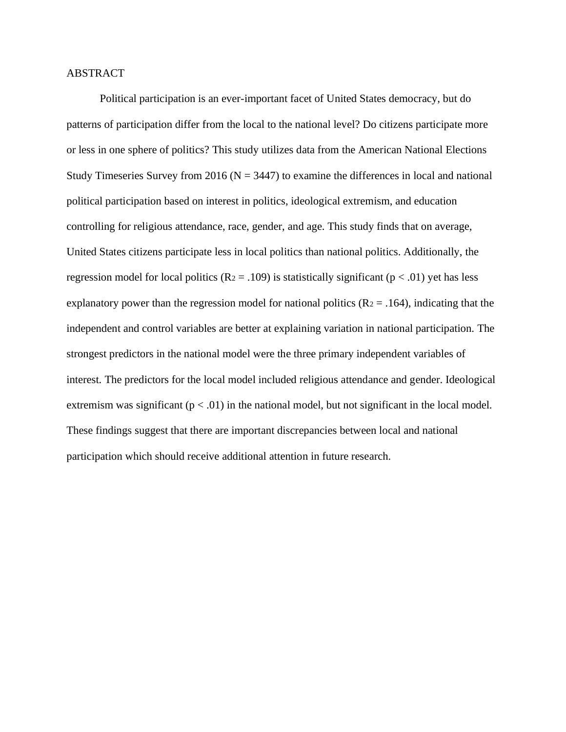#### ABSTRACT

Political participation is an ever-important facet of United States democracy, but do patterns of participation differ from the local to the national level? Do citizens participate more or less in one sphere of politics? This study utilizes data from the American National Elections Study Timeseries Survey from 2016 ( $N = 3447$ ) to examine the differences in local and national political participation based on interest in politics, ideological extremism, and education controlling for religious attendance, race, gender, and age. This study finds that on average, United States citizens participate less in local politics than national politics. Additionally, the regression model for local politics ( $R_2 = .109$ ) is statistically significant ( $p < .01$ ) yet has less explanatory power than the regression model for national politics  $(R_2 = .164)$ , indicating that the independent and control variables are better at explaining variation in national participation. The strongest predictors in the national model were the three primary independent variables of interest. The predictors for the local model included religious attendance and gender. Ideological extremism was significant  $(p < .01)$  in the national model, but not significant in the local model. These findings suggest that there are important discrepancies between local and national participation which should receive additional attention in future research.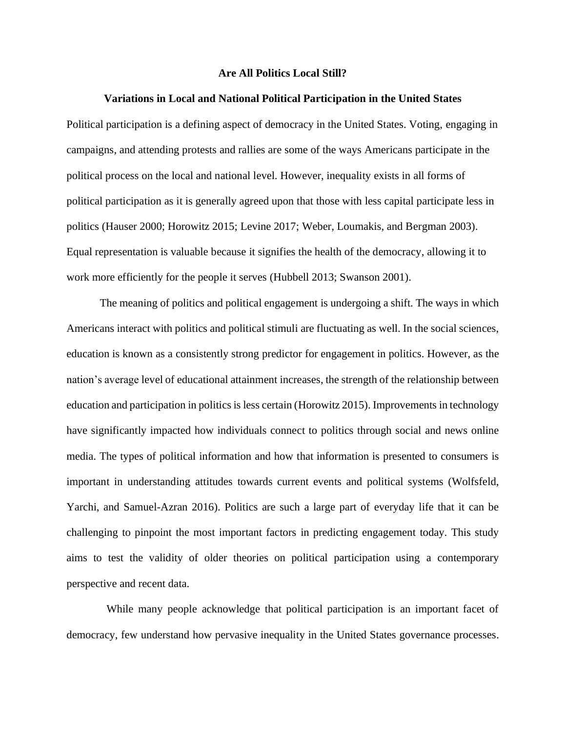#### **Are All Politics Local Still?**

#### **Variations in Local and National Political Participation in the United States**

Political participation is a defining aspect of democracy in the United States. Voting, engaging in campaigns, and attending protests and rallies are some of the ways Americans participate in the political process on the local and national level. However, inequality exists in all forms of political participation as it is generally agreed upon that those with less capital participate less in politics (Hauser 2000; Horowitz 2015; Levine 2017; Weber, Loumakis, and Bergman 2003). Equal representation is valuable because it signifies the health of the democracy, allowing it to work more efficiently for the people it serves (Hubbell 2013; Swanson 2001).

The meaning of politics and political engagement is undergoing a shift. The ways in which Americans interact with politics and political stimuli are fluctuating as well. In the social sciences, education is known as a consistently strong predictor for engagement in politics. However, as the nation's average level of educational attainment increases, the strength of the relationship between education and participation in politics is less certain (Horowitz 2015). Improvements in technology have significantly impacted how individuals connect to politics through social and news online media. The types of political information and how that information is presented to consumers is important in understanding attitudes towards current events and political systems (Wolfsfeld, Yarchi, and Samuel-Azran 2016). Politics are such a large part of everyday life that it can be challenging to pinpoint the most important factors in predicting engagement today. This study aims to test the validity of older theories on political participation using a contemporary perspective and recent data.

While many people acknowledge that political participation is an important facet of democracy, few understand how pervasive inequality in the United States governance processes.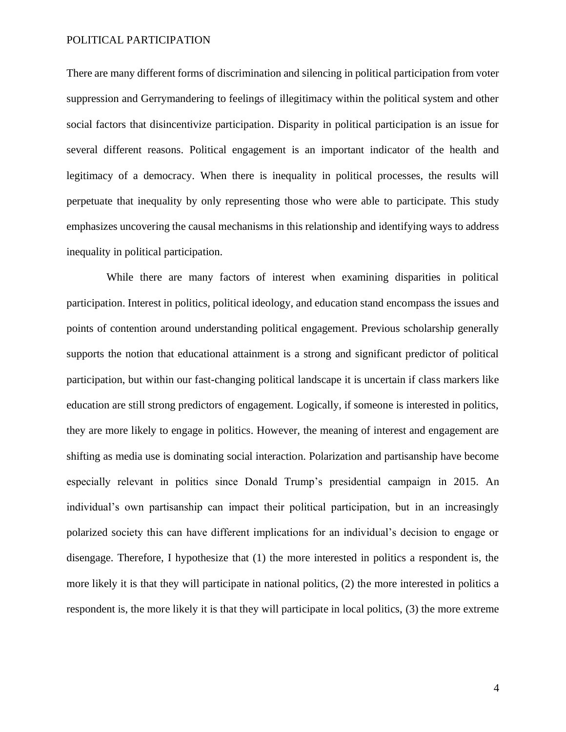There are many different forms of discrimination and silencing in political participation from voter suppression and Gerrymandering to feelings of illegitimacy within the political system and other social factors that disincentivize participation. Disparity in political participation is an issue for several different reasons. Political engagement is an important indicator of the health and legitimacy of a democracy. When there is inequality in political processes, the results will perpetuate that inequality by only representing those who were able to participate. This study emphasizes uncovering the causal mechanisms in this relationship and identifying ways to address inequality in political participation.

While there are many factors of interest when examining disparities in political participation. Interest in politics, political ideology, and education stand encompass the issues and points of contention around understanding political engagement. Previous scholarship generally supports the notion that educational attainment is a strong and significant predictor of political participation, but within our fast-changing political landscape it is uncertain if class markers like education are still strong predictors of engagement. Logically, if someone is interested in politics, they are more likely to engage in politics. However, the meaning of interest and engagement are shifting as media use is dominating social interaction. Polarization and partisanship have become especially relevant in politics since Donald Trump's presidential campaign in 2015. An individual's own partisanship can impact their political participation, but in an increasingly polarized society this can have different implications for an individual's decision to engage or disengage. Therefore, I hypothesize that (1) the more interested in politics a respondent is, the more likely it is that they will participate in national politics, (2) the more interested in politics a respondent is, the more likely it is that they will participate in local politics, (3) the more extreme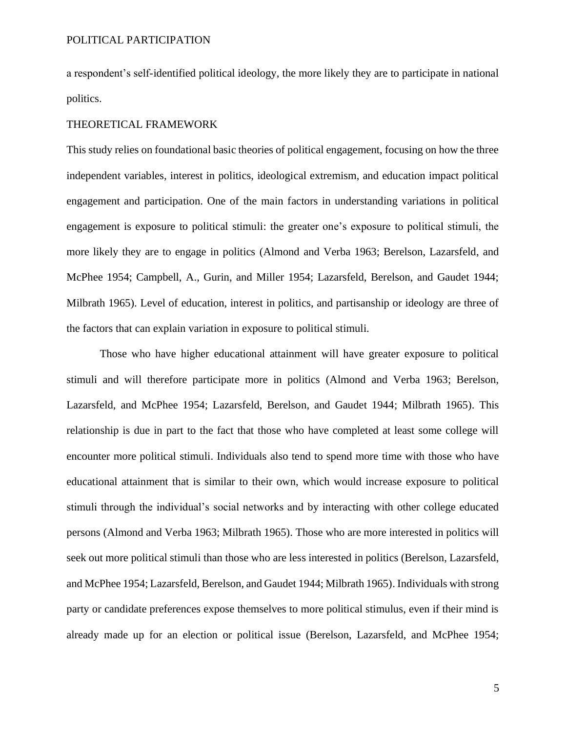a respondent's self-identified political ideology, the more likely they are to participate in national politics.

#### THEORETICAL FRAMEWORK

This study relies on foundational basic theories of political engagement, focusing on how the three independent variables, interest in politics, ideological extremism, and education impact political engagement and participation. One of the main factors in understanding variations in political engagement is exposure to political stimuli: the greater one's exposure to political stimuli, the more likely they are to engage in politics (Almond and Verba 1963; Berelson, Lazarsfeld, and McPhee 1954; Campbell, A., Gurin, and Miller 1954; Lazarsfeld, Berelson, and Gaudet 1944; Milbrath 1965). Level of education, interest in politics, and partisanship or ideology are three of the factors that can explain variation in exposure to political stimuli.

Those who have higher educational attainment will have greater exposure to political stimuli and will therefore participate more in politics (Almond and Verba 1963; Berelson, Lazarsfeld, and McPhee 1954; Lazarsfeld, Berelson, and Gaudet 1944; Milbrath 1965). This relationship is due in part to the fact that those who have completed at least some college will encounter more political stimuli. Individuals also tend to spend more time with those who have educational attainment that is similar to their own, which would increase exposure to political stimuli through the individual's social networks and by interacting with other college educated persons (Almond and Verba 1963; Milbrath 1965). Those who are more interested in politics will seek out more political stimuli than those who are less interested in politics (Berelson, Lazarsfeld, and McPhee 1954; Lazarsfeld, Berelson, and Gaudet 1944; Milbrath 1965). Individuals with strong party or candidate preferences expose themselves to more political stimulus, even if their mind is already made up for an election or political issue (Berelson, Lazarsfeld, and McPhee 1954;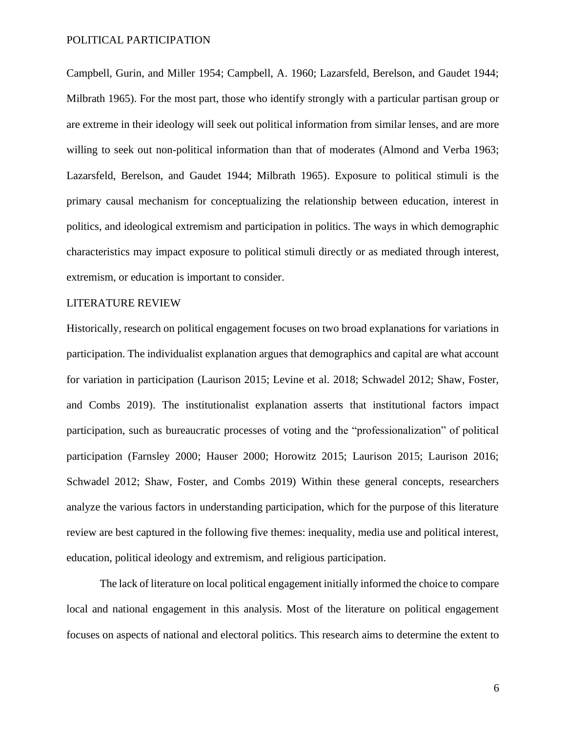Campbell, Gurin, and Miller 1954; Campbell, A. 1960; Lazarsfeld, Berelson, and Gaudet 1944; Milbrath 1965). For the most part, those who identify strongly with a particular partisan group or are extreme in their ideology will seek out political information from similar lenses, and are more willing to seek out non-political information than that of moderates (Almond and Verba 1963; Lazarsfeld, Berelson, and Gaudet 1944; Milbrath 1965). Exposure to political stimuli is the primary causal mechanism for conceptualizing the relationship between education, interest in politics, and ideological extremism and participation in politics. The ways in which demographic characteristics may impact exposure to political stimuli directly or as mediated through interest, extremism, or education is important to consider.

#### LITERATURE REVIEW

Historically, research on political engagement focuses on two broad explanations for variations in participation. The individualist explanation argues that demographics and capital are what account for variation in participation (Laurison 2015; Levine et al. 2018; Schwadel 2012; Shaw, Foster, and Combs 2019). The institutionalist explanation asserts that institutional factors impact participation, such as bureaucratic processes of voting and the "professionalization" of political participation (Farnsley 2000; Hauser 2000; Horowitz 2015; Laurison 2015; Laurison 2016; Schwadel 2012; Shaw, Foster, and Combs 2019) Within these general concepts, researchers analyze the various factors in understanding participation, which for the purpose of this literature review are best captured in the following five themes: inequality, media use and political interest, education, political ideology and extremism, and religious participation.

The lack of literature on local political engagement initially informed the choice to compare local and national engagement in this analysis. Most of the literature on political engagement focuses on aspects of national and electoral politics. This research aims to determine the extent to

6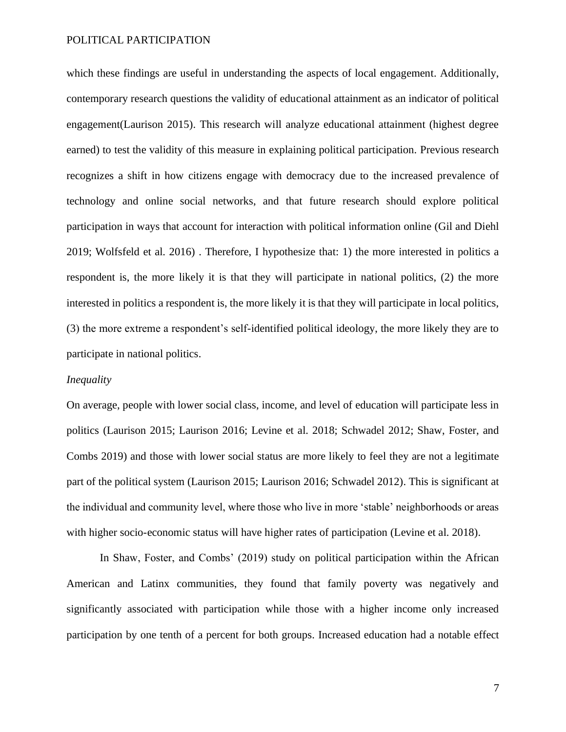which these findings are useful in understanding the aspects of local engagement. Additionally, contemporary research questions the validity of educational attainment as an indicator of political engagement(Laurison 2015). This research will analyze educational attainment (highest degree earned) to test the validity of this measure in explaining political participation. Previous research recognizes a shift in how citizens engage with democracy due to the increased prevalence of technology and online social networks, and that future research should explore political participation in ways that account for interaction with political information online (Gil and Diehl 2019; Wolfsfeld et al. 2016) . Therefore, I hypothesize that: 1) the more interested in politics a respondent is, the more likely it is that they will participate in national politics, (2) the more interested in politics a respondent is, the more likely it is that they will participate in local politics, (3) the more extreme a respondent's self-identified political ideology, the more likely they are to participate in national politics.

#### *Inequality*

On average, people with lower social class, income, and level of education will participate less in politics (Laurison 2015; Laurison 2016; Levine et al. 2018; Schwadel 2012; Shaw, Foster, and Combs 2019) and those with lower social status are more likely to feel they are not a legitimate part of the political system (Laurison 2015; Laurison 2016; Schwadel 2012). This is significant at the individual and community level, where those who live in more 'stable' neighborhoods or areas with higher socio-economic status will have higher rates of participation (Levine et al. 2018).

In Shaw, Foster, and Combs' (2019) study on political participation within the African American and Latinx communities, they found that family poverty was negatively and significantly associated with participation while those with a higher income only increased participation by one tenth of a percent for both groups. Increased education had a notable effect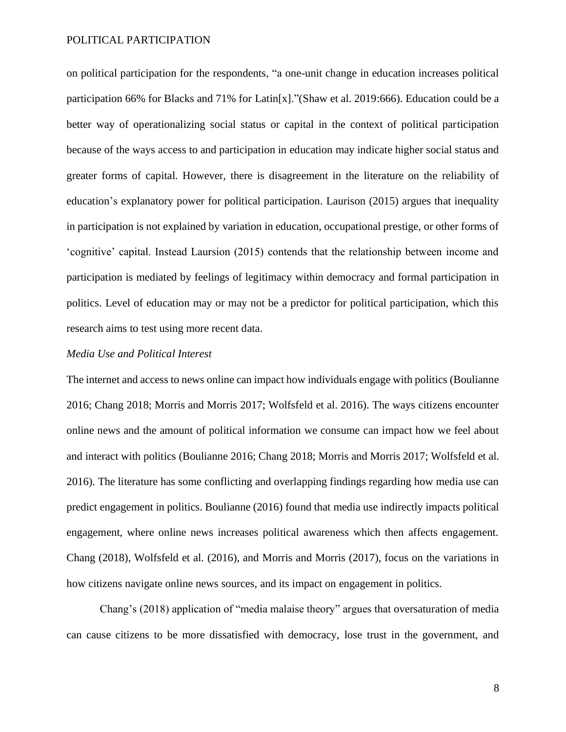on political participation for the respondents, "a one-unit change in education increases political participation 66% for Blacks and 71% for Latin[x]."(Shaw et al. 2019:666). Education could be a better way of operationalizing social status or capital in the context of political participation because of the ways access to and participation in education may indicate higher social status and greater forms of capital. However, there is disagreement in the literature on the reliability of education's explanatory power for political participation. Laurison (2015) argues that inequality in participation is not explained by variation in education, occupational prestige, or other forms of 'cognitive' capital. Instead Laursion (2015) contends that the relationship between income and participation is mediated by feelings of legitimacy within democracy and formal participation in politics. Level of education may or may not be a predictor for political participation, which this research aims to test using more recent data.

#### *Media Use and Political Interest*

The internet and access to news online can impact how individuals engage with politics (Boulianne 2016; Chang 2018; Morris and Morris 2017; Wolfsfeld et al. 2016). The ways citizens encounter online news and the amount of political information we consume can impact how we feel about and interact with politics (Boulianne 2016; Chang 2018; Morris and Morris 2017; Wolfsfeld et al. 2016). The literature has some conflicting and overlapping findings regarding how media use can predict engagement in politics. Boulianne (2016) found that media use indirectly impacts political engagement, where online news increases political awareness which then affects engagement. Chang (2018), Wolfsfeld et al. (2016), and Morris and Morris (2017), focus on the variations in how citizens navigate online news sources, and its impact on engagement in politics.

Chang's (2018) application of "media malaise theory" argues that oversaturation of media can cause citizens to be more dissatisfied with democracy, lose trust in the government, and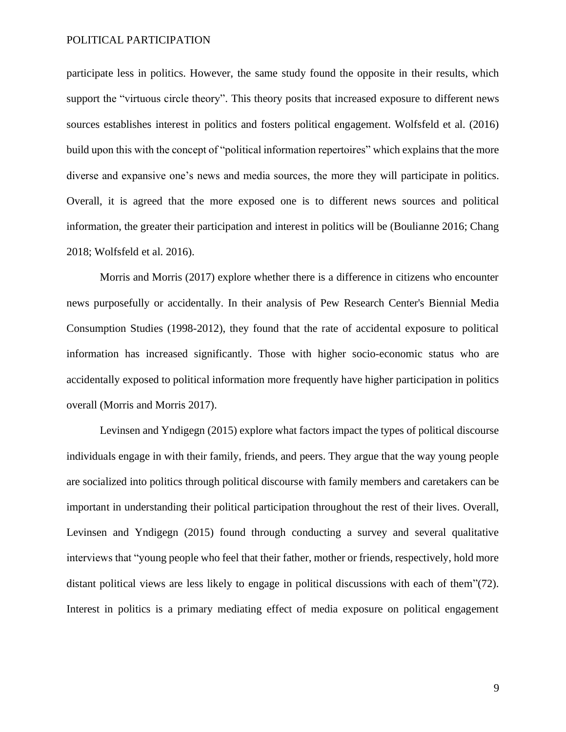participate less in politics. However, the same study found the opposite in their results, which support the "virtuous circle theory". This theory posits that increased exposure to different news sources establishes interest in politics and fosters political engagement. Wolfsfeld et al. (2016) build upon this with the concept of "political information repertoires" which explains that the more diverse and expansive one's news and media sources, the more they will participate in politics. Overall, it is agreed that the more exposed one is to different news sources and political information, the greater their participation and interest in politics will be (Boulianne 2016; Chang 2018; Wolfsfeld et al. 2016).

Morris and Morris (2017) explore whether there is a difference in citizens who encounter news purposefully or accidentally. In their analysis of Pew Research Center's Biennial Media Consumption Studies (1998-2012), they found that the rate of accidental exposure to political information has increased significantly. Those with higher socio-economic status who are accidentally exposed to political information more frequently have higher participation in politics overall (Morris and Morris 2017).

Levinsen and Yndigegn (2015) explore what factors impact the types of political discourse individuals engage in with their family, friends, and peers. They argue that the way young people are socialized into politics through political discourse with family members and caretakers can be important in understanding their political participation throughout the rest of their lives. Overall, Levinsen and Yndigegn (2015) found through conducting a survey and several qualitative interviews that "young people who feel that their father, mother or friends, respectively, hold more distant political views are less likely to engage in political discussions with each of them"(72). Interest in politics is a primary mediating effect of media exposure on political engagement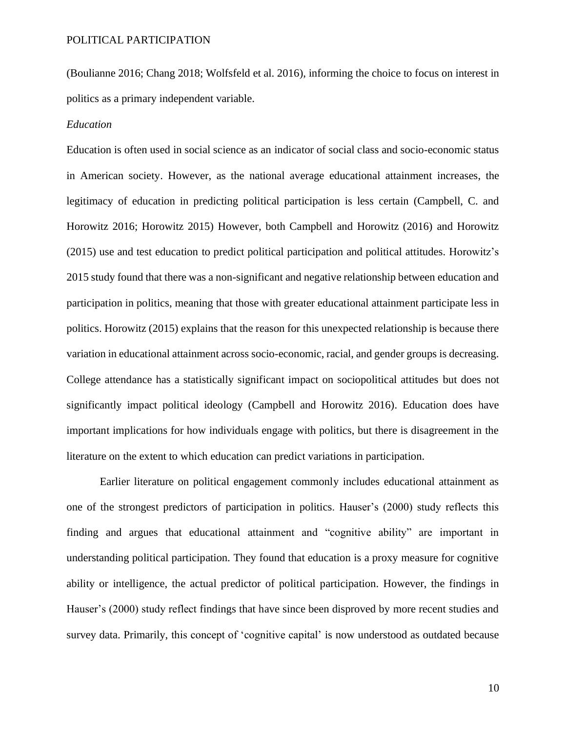(Boulianne 2016; Chang 2018; Wolfsfeld et al. 2016), informing the choice to focus on interest in politics as a primary independent variable.

#### *Education*

Education is often used in social science as an indicator of social class and socio-economic status in American society. However, as the national average educational attainment increases, the legitimacy of education in predicting political participation is less certain (Campbell, C. and Horowitz 2016; Horowitz 2015) However, both Campbell and Horowitz (2016) and Horowitz (2015) use and test education to predict political participation and political attitudes. Horowitz's 2015 study found that there was a non-significant and negative relationship between education and participation in politics, meaning that those with greater educational attainment participate less in politics. Horowitz (2015) explains that the reason for this unexpected relationship is because there variation in educational attainment across socio-economic, racial, and gender groups is decreasing. College attendance has a statistically significant impact on sociopolitical attitudes but does not significantly impact political ideology (Campbell and Horowitz 2016). Education does have important implications for how individuals engage with politics, but there is disagreement in the literature on the extent to which education can predict variations in participation.

Earlier literature on political engagement commonly includes educational attainment as one of the strongest predictors of participation in politics. Hauser's (2000) study reflects this finding and argues that educational attainment and "cognitive ability" are important in understanding political participation. They found that education is a proxy measure for cognitive ability or intelligence, the actual predictor of political participation. However, the findings in Hauser's (2000) study reflect findings that have since been disproved by more recent studies and survey data. Primarily, this concept of 'cognitive capital' is now understood as outdated because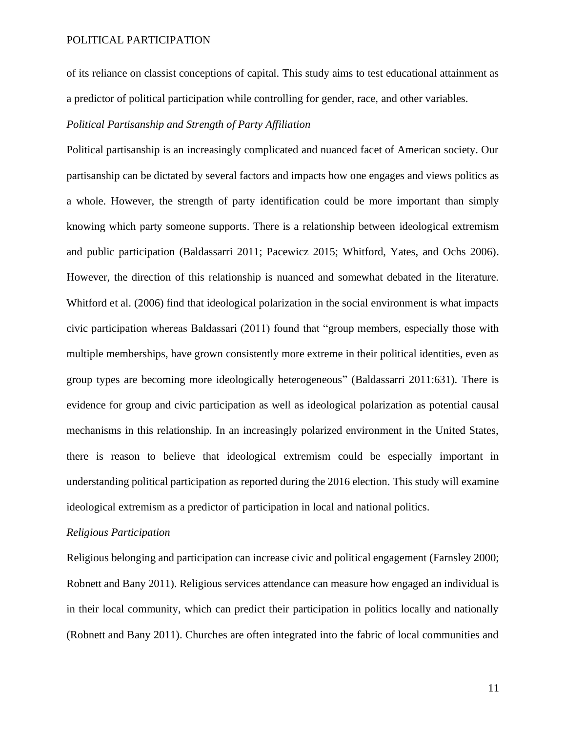of its reliance on classist conceptions of capital. This study aims to test educational attainment as a predictor of political participation while controlling for gender, race, and other variables.

# *Political Partisanship and Strength of Party Affiliation*

Political partisanship is an increasingly complicated and nuanced facet of American society. Our partisanship can be dictated by several factors and impacts how one engages and views politics as a whole. However, the strength of party identification could be more important than simply knowing which party someone supports. There is a relationship between ideological extremism and public participation (Baldassarri 2011; Pacewicz 2015; Whitford, Yates, and Ochs 2006). However, the direction of this relationship is nuanced and somewhat debated in the literature. Whitford et al. (2006) find that ideological polarization in the social environment is what impacts civic participation whereas Baldassari (2011) found that "group members, especially those with multiple memberships, have grown consistently more extreme in their political identities, even as group types are becoming more ideologically heterogeneous" (Baldassarri 2011:631). There is evidence for group and civic participation as well as ideological polarization as potential causal mechanisms in this relationship. In an increasingly polarized environment in the United States, there is reason to believe that ideological extremism could be especially important in understanding political participation as reported during the 2016 election. This study will examine ideological extremism as a predictor of participation in local and national politics.

#### *Religious Participation*

Religious belonging and participation can increase civic and political engagement (Farnsley 2000; Robnett and Bany 2011). Religious services attendance can measure how engaged an individual is in their local community, which can predict their participation in politics locally and nationally (Robnett and Bany 2011). Churches are often integrated into the fabric of local communities and

11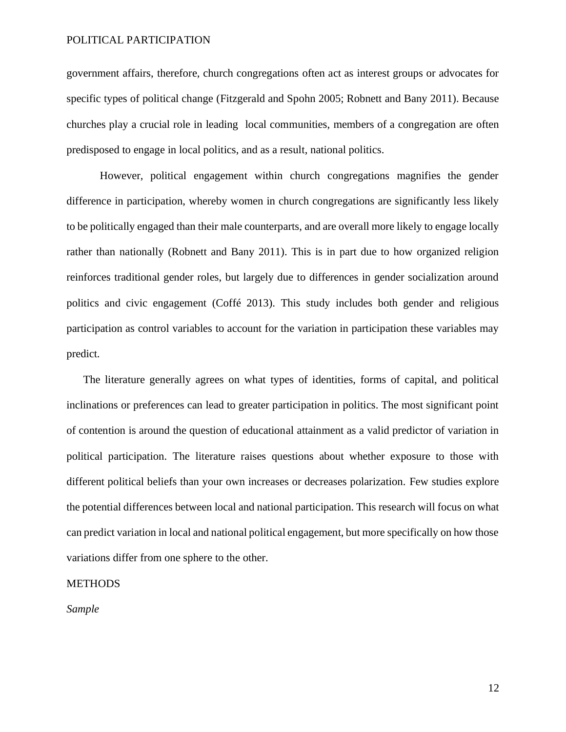government affairs, therefore, church congregations often act as interest groups or advocates for specific types of political change (Fitzgerald and Spohn 2005; Robnett and Bany 2011). Because churches play a crucial role in leading local communities, members of a congregation are often predisposed to engage in local politics, and as a result, national politics.

However, political engagement within church congregations magnifies the gender difference in participation, whereby women in church congregations are significantly less likely to be politically engaged than their male counterparts, and are overall more likely to engage locally rather than nationally (Robnett and Bany 2011). This is in part due to how organized religion reinforces traditional gender roles, but largely due to differences in gender socialization around politics and civic engagement (Coffé 2013). This study includes both gender and religious participation as control variables to account for the variation in participation these variables may predict.

The literature generally agrees on what types of identities, forms of capital, and political inclinations or preferences can lead to greater participation in politics. The most significant point of contention is around the question of educational attainment as a valid predictor of variation in political participation. The literature raises questions about whether exposure to those with different political beliefs than your own increases or decreases polarization. Few studies explore the potential differences between local and national participation. This research will focus on what can predict variation in local and national political engagement, but more specifically on how those variations differ from one sphere to the other.

#### **METHODS**

*Sample*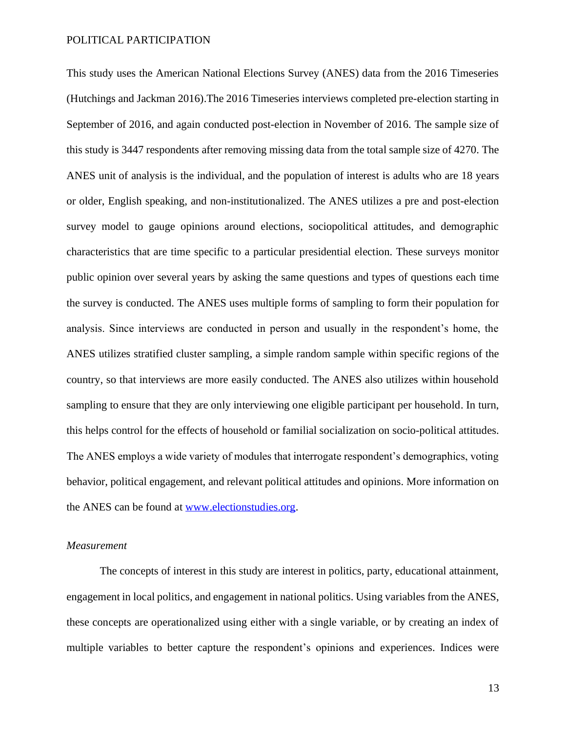This study uses the American National Elections Survey (ANES) data from the 2016 Timeseries (Hutchings and Jackman 2016).The 2016 Timeseries interviews completed pre-election starting in September of 2016, and again conducted post-election in November of 2016. The sample size of this study is 3447 respondents after removing missing data from the total sample size of 4270. The ANES unit of analysis is the individual, and the population of interest is adults who are 18 years or older, English speaking, and non-institutionalized. The ANES utilizes a pre and post-election survey model to gauge opinions around elections, sociopolitical attitudes, and demographic characteristics that are time specific to a particular presidential election. These surveys monitor public opinion over several years by asking the same questions and types of questions each time the survey is conducted. The ANES uses multiple forms of sampling to form their population for analysis. Since interviews are conducted in person and usually in the respondent's home, the ANES utilizes stratified cluster sampling, a simple random sample within specific regions of the country, so that interviews are more easily conducted. The ANES also utilizes within household sampling to ensure that they are only interviewing one eligible participant per household. In turn, this helps control for the effects of household or familial socialization on socio-political attitudes. The ANES employs a wide variety of modules that interrogate respondent's demographics, voting behavior, political engagement, and relevant political attitudes and opinions. More information on the ANES can be found at [www.electionstudies.org.](http://www.electionstudies.org/)

#### *Measurement*

The concepts of interest in this study are interest in politics, party, educational attainment, engagement in local politics, and engagement in national politics. Using variables from the ANES, these concepts are operationalized using either with a single variable, or by creating an index of multiple variables to better capture the respondent's opinions and experiences. Indices were

13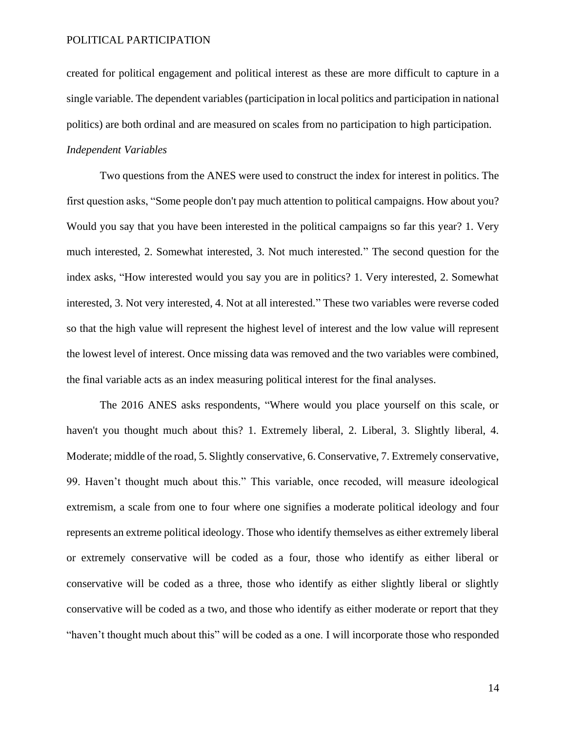created for political engagement and political interest as these are more difficult to capture in a single variable. The dependent variables (participation in local politics and participation in national politics) are both ordinal and are measured on scales from no participation to high participation. *Independent Variables*

Two questions from the ANES were used to construct the index for interest in politics. The first question asks, "Some people don't pay much attention to political campaigns. How about you? Would you say that you have been interested in the political campaigns so far this year? 1. Very much interested, 2. Somewhat interested, 3. Not much interested." The second question for the index asks, "How interested would you say you are in politics? 1. Very interested, 2. Somewhat interested, 3. Not very interested, 4. Not at all interested." These two variables were reverse coded so that the high value will represent the highest level of interest and the low value will represent the lowest level of interest. Once missing data was removed and the two variables were combined, the final variable acts as an index measuring political interest for the final analyses.

The 2016 ANES asks respondents, "Where would you place yourself on this scale, or haven't you thought much about this? 1. Extremely liberal, 2. Liberal, 3. Slightly liberal, 4. Moderate; middle of the road, 5. Slightly conservative, 6. Conservative, 7. Extremely conservative, 99. Haven't thought much about this." This variable, once recoded, will measure ideological extremism, a scale from one to four where one signifies a moderate political ideology and four represents an extreme political ideology. Those who identify themselves as either extremely liberal or extremely conservative will be coded as a four, those who identify as either liberal or conservative will be coded as a three, those who identify as either slightly liberal or slightly conservative will be coded as a two, and those who identify as either moderate or report that they "haven't thought much about this" will be coded as a one. I will incorporate those who responded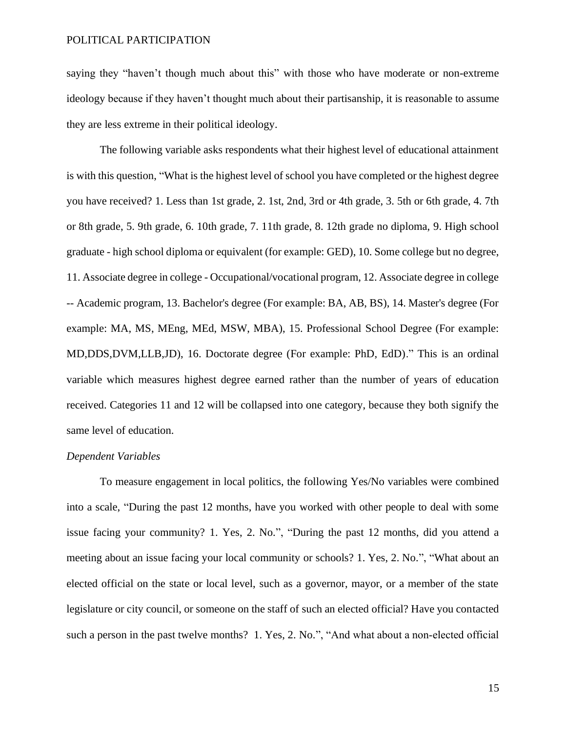saying they "haven't though much about this" with those who have moderate or non-extreme ideology because if they haven't thought much about their partisanship, it is reasonable to assume they are less extreme in their political ideology.

The following variable asks respondents what their highest level of educational attainment is with this question, "What is the highest level of school you have completed or the highest degree you have received? 1. Less than 1st grade, 2. 1st, 2nd, 3rd or 4th grade, 3. 5th or 6th grade, 4. 7th or 8th grade, 5. 9th grade, 6. 10th grade, 7. 11th grade, 8. 12th grade no diploma, 9. High school graduate - high school diploma or equivalent (for example: GED), 10. Some college but no degree, 11. Associate degree in college - Occupational/vocational program, 12. Associate degree in college -- Academic program, 13. Bachelor's degree (For example: BA, AB, BS), 14. Master's degree (For example: MA, MS, MEng, MEd, MSW, MBA), 15. Professional School Degree (For example: MD,DDS,DVM,LLB,JD), 16. Doctorate degree (For example: PhD, EdD)." This is an ordinal variable which measures highest degree earned rather than the number of years of education received. Categories 11 and 12 will be collapsed into one category, because they both signify the same level of education.

#### *Dependent Variables*

To measure engagement in local politics, the following Yes/No variables were combined into a scale, "During the past 12 months, have you worked with other people to deal with some issue facing your community? 1. Yes, 2. No.", "During the past 12 months, did you attend a meeting about an issue facing your local community or schools? 1. Yes, 2. No.", "What about an elected official on the state or local level, such as a governor, mayor, or a member of the state legislature or city council, or someone on the staff of such an elected official? Have you contacted such a person in the past twelve months? 1. Yes, 2. No.", "And what about a non-elected official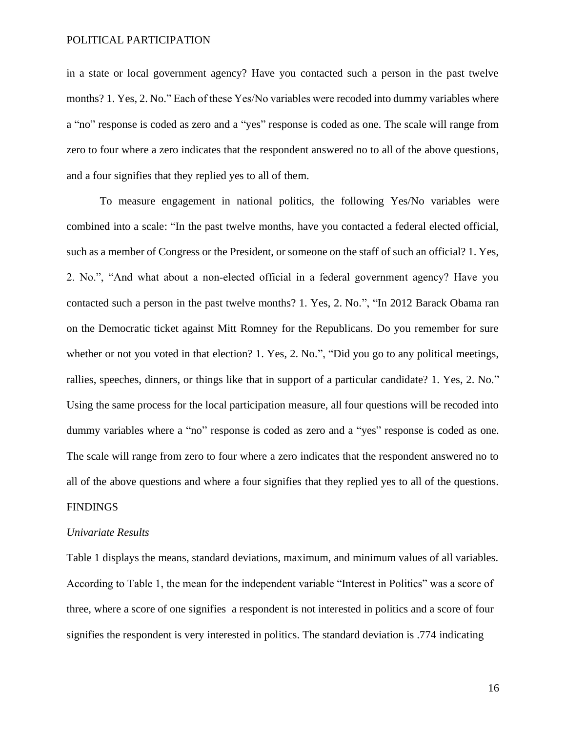in a state or local government agency? Have you contacted such a person in the past twelve months? 1. Yes, 2. No." Each of these Yes/No variables were recoded into dummy variables where a "no" response is coded as zero and a "yes" response is coded as one. The scale will range from zero to four where a zero indicates that the respondent answered no to all of the above questions, and a four signifies that they replied yes to all of them.

To measure engagement in national politics, the following Yes/No variables were combined into a scale: "In the past twelve months, have you contacted a federal elected official, such as a member of Congress or the President, or someone on the staff of such an official? 1. Yes, 2. No.", "And what about a non‐elected official in a federal government agency? Have you contacted such a person in the past twelve months? 1. Yes, 2. No.", "In 2012 Barack Obama ran on the Democratic ticket against Mitt Romney for the Republicans. Do you remember for sure whether or not you voted in that election? 1. Yes, 2. No.", "Did you go to any political meetings, rallies, speeches, dinners, or things like that in support of a particular candidate? 1. Yes, 2. No." Using the same process for the local participation measure, all four questions will be recoded into dummy variables where a "no" response is coded as zero and a "yes" response is coded as one. The scale will range from zero to four where a zero indicates that the respondent answered no to all of the above questions and where a four signifies that they replied yes to all of the questions.

#### **FINDINGS**

#### *Univariate Results*

Table 1 displays the means, standard deviations, maximum, and minimum values of all variables. According to Table 1, the mean for the independent variable "Interest in Politics" was a score of three, where a score of one signifies a respondent is not interested in politics and a score of four signifies the respondent is very interested in politics. The standard deviation is .774 indicating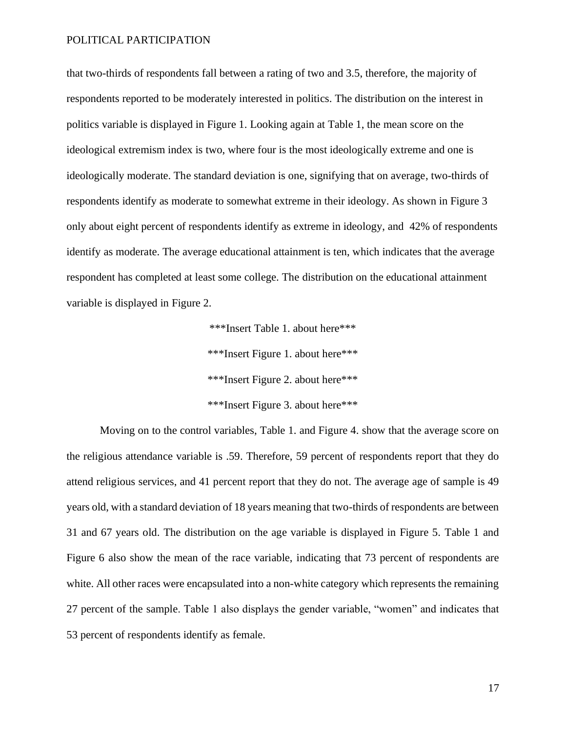that two-thirds of respondents fall between a rating of two and 3.5, therefore, the majority of respondents reported to be moderately interested in politics. The distribution on the interest in politics variable is displayed in Figure 1. Looking again at Table 1, the mean score on the ideological extremism index is two, where four is the most ideologically extreme and one is ideologically moderate. The standard deviation is one, signifying that on average, two-thirds of respondents identify as moderate to somewhat extreme in their ideology. As shown in Figure 3 only about eight percent of respondents identify as extreme in ideology, and 42% of respondents identify as moderate. The average educational attainment is ten, which indicates that the average respondent has completed at least some college. The distribution on the educational attainment variable is displayed in Figure 2.

> \*\*\*Insert Table 1. about here\*\*\* \*\*\*Insert Figure 1. about here\*\*\* \*\*\*Insert Figure 2. about here\*\*\* \*\*\*Insert Figure 3. about here\*\*\*

Moving on to the control variables, Table 1. and Figure 4. show that the average score on the religious attendance variable is .59. Therefore, 59 percent of respondents report that they do attend religious services, and 41 percent report that they do not. The average age of sample is 49 years old, with a standard deviation of 18 years meaning that two-thirds of respondents are between 31 and 67 years old. The distribution on the age variable is displayed in Figure 5. Table 1 and Figure 6 also show the mean of the race variable, indicating that 73 percent of respondents are white. All other races were encapsulated into a non-white category which represents the remaining 27 percent of the sample. Table 1 also displays the gender variable, "women" and indicates that 53 percent of respondents identify as female.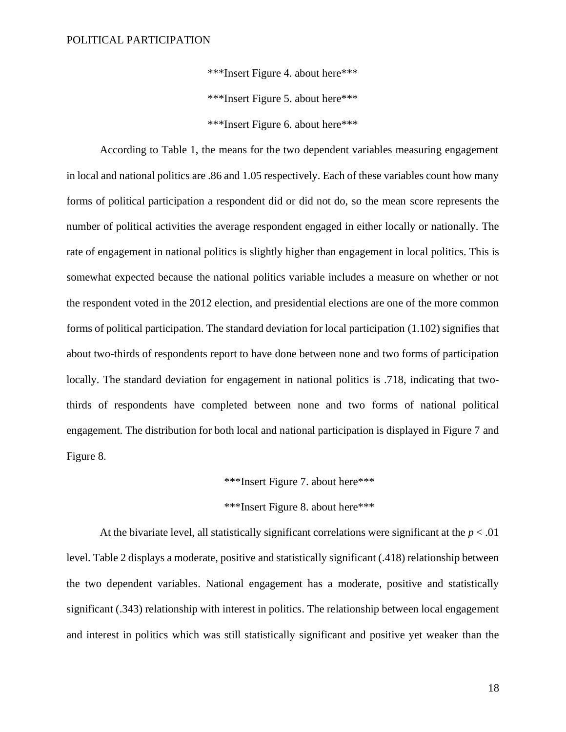\*\*\*Insert Figure 4. about here\*\*\* \*\*\*Insert Figure 5. about here\*\*\* \*\*\*Insert Figure 6. about here\*\*\*

According to Table 1, the means for the two dependent variables measuring engagement in local and national politics are .86 and 1.05 respectively. Each of these variables count how many forms of political participation a respondent did or did not do, so the mean score represents the number of political activities the average respondent engaged in either locally or nationally. The rate of engagement in national politics is slightly higher than engagement in local politics. This is somewhat expected because the national politics variable includes a measure on whether or not the respondent voted in the 2012 election, and presidential elections are one of the more common forms of political participation. The standard deviation for local participation (1.102) signifies that about two-thirds of respondents report to have done between none and two forms of participation locally. The standard deviation for engagement in national politics is .718, indicating that twothirds of respondents have completed between none and two forms of national political engagement. The distribution for both local and national participation is displayed in Figure 7 and Figure 8.

\*\*\*Insert Figure 7. about here\*\*\*

\*\*\*Insert Figure 8. about here\*\*\*

At the bivariate level, all statistically significant correlations were significant at the  $p < .01$ level. Table 2 displays a moderate, positive and statistically significant (.418) relationship between the two dependent variables. National engagement has a moderate, positive and statistically significant (.343) relationship with interest in politics. The relationship between local engagement and interest in politics which was still statistically significant and positive yet weaker than the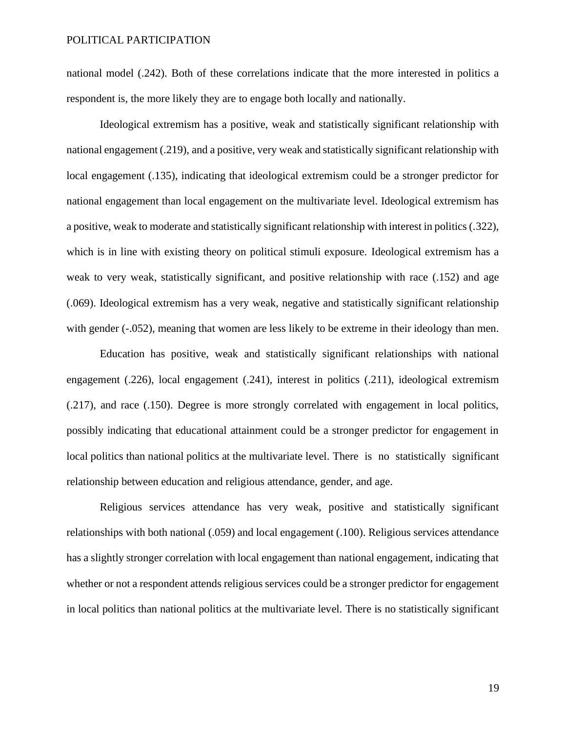national model (.242). Both of these correlations indicate that the more interested in politics a respondent is, the more likely they are to engage both locally and nationally.

Ideological extremism has a positive, weak and statistically significant relationship with national engagement (.219), and a positive, very weak and statistically significant relationship with local engagement (.135), indicating that ideological extremism could be a stronger predictor for national engagement than local engagement on the multivariate level. Ideological extremism has a positive, weak to moderate and statistically significant relationship with interest in politics (.322), which is in line with existing theory on political stimuli exposure. Ideological extremism has a weak to very weak, statistically significant, and positive relationship with race (.152) and age (.069). Ideological extremism has a very weak, negative and statistically significant relationship with gender (-.052), meaning that women are less likely to be extreme in their ideology than men.

Education has positive, weak and statistically significant relationships with national engagement (.226), local engagement (.241), interest in politics (.211), ideological extremism (.217), and race (.150). Degree is more strongly correlated with engagement in local politics, possibly indicating that educational attainment could be a stronger predictor for engagement in local politics than national politics at the multivariate level. There is no statistically significant relationship between education and religious attendance, gender, and age.

Religious services attendance has very weak, positive and statistically significant relationships with both national (.059) and local engagement (.100). Religious services attendance has a slightly stronger correlation with local engagement than national engagement, indicating that whether or not a respondent attends religious services could be a stronger predictor for engagement in local politics than national politics at the multivariate level. There is no statistically significant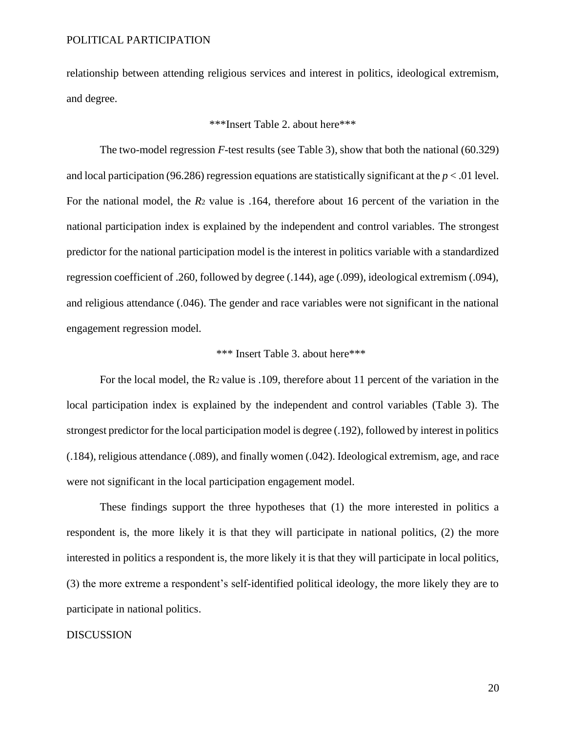relationship between attending religious services and interest in politics, ideological extremism, and degree.

#### \*\*\*Insert Table 2. about here\*\*\*

The two-model regression *F*-test results (see Table 3), show that both the national (60.329) and local participation (96.286) regression equations are statistically significant at the  $p < 0.01$  level. For the national model, the *R*<sup>2</sup> value is .164, therefore about 16 percent of the variation in the national participation index is explained by the independent and control variables. The strongest predictor for the national participation model is the interest in politics variable with a standardized regression coefficient of .260, followed by degree (.144), age (.099), ideological extremism (.094), and religious attendance (.046). The gender and race variables were not significant in the national engagement regression model.

#### \*\*\* Insert Table 3. about here\*\*\*

For the local model, the R<sup>2</sup> value is .109, therefore about 11 percent of the variation in the local participation index is explained by the independent and control variables (Table 3). The strongest predictor for the local participation model is degree (.192), followed by interest in politics (.184), religious attendance (.089), and finally women (.042). Ideological extremism, age, and race were not significant in the local participation engagement model.

These findings support the three hypotheses that (1) the more interested in politics a respondent is, the more likely it is that they will participate in national politics, (2) the more interested in politics a respondent is, the more likely it is that they will participate in local politics, (3) the more extreme a respondent's self-identified political ideology, the more likely they are to participate in national politics.

#### DISCUSSION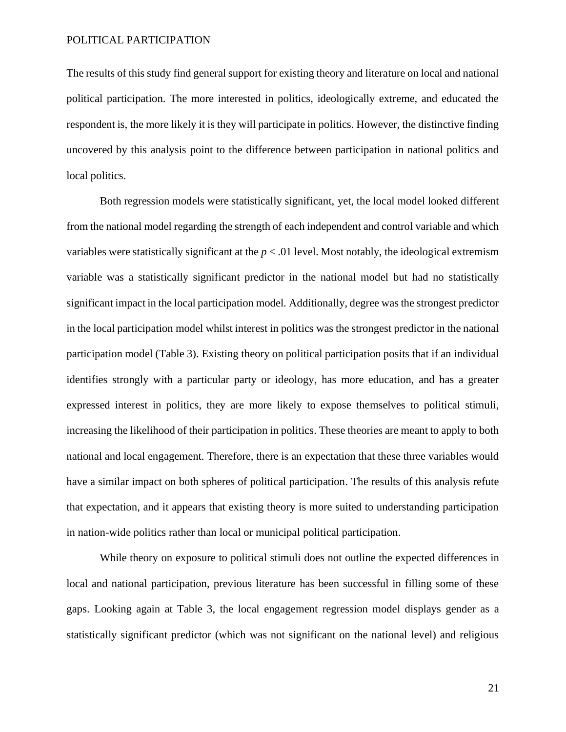The results of this study find general support for existing theory and literature on local and national political participation. The more interested in politics, ideologically extreme, and educated the respondent is, the more likely it is they will participate in politics. However, the distinctive finding uncovered by this analysis point to the difference between participation in national politics and local politics.

Both regression models were statistically significant, yet, the local model looked different from the national model regarding the strength of each independent and control variable and which variables were statistically significant at the *p* < .01 level. Most notably, the ideological extremism variable was a statistically significant predictor in the national model but had no statistically significant impact in the local participation model. Additionally, degree was the strongest predictor in the local participation model whilst interest in politics was the strongest predictor in the national participation model (Table 3). Existing theory on political participation posits that if an individual identifies strongly with a particular party or ideology, has more education, and has a greater expressed interest in politics, they are more likely to expose themselves to political stimuli, increasing the likelihood of their participation in politics. These theories are meant to apply to both national and local engagement. Therefore, there is an expectation that these three variables would have a similar impact on both spheres of political participation. The results of this analysis refute that expectation, and it appears that existing theory is more suited to understanding participation in nation-wide politics rather than local or municipal political participation.

While theory on exposure to political stimuli does not outline the expected differences in local and national participation, previous literature has been successful in filling some of these gaps. Looking again at Table 3, the local engagement regression model displays gender as a statistically significant predictor (which was not significant on the national level) and religious

21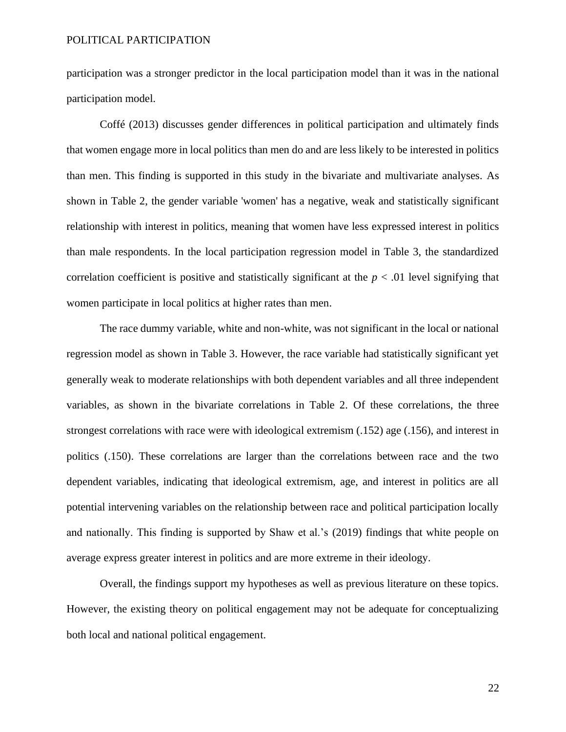participation was a stronger predictor in the local participation model than it was in the national participation model.

Coffé (2013) discusses gender differences in political participation and ultimately finds that women engage more in local politics than men do and are less likely to be interested in politics than men. This finding is supported in this study in the bivariate and multivariate analyses. As shown in Table 2, the gender variable 'women' has a negative, weak and statistically significant relationship with interest in politics, meaning that women have less expressed interest in politics than male respondents. In the local participation regression model in Table 3, the standardized correlation coefficient is positive and statistically significant at the  $p < .01$  level signifying that women participate in local politics at higher rates than men.

The race dummy variable, white and non-white, was not significant in the local or national regression model as shown in Table 3. However, the race variable had statistically significant yet generally weak to moderate relationships with both dependent variables and all three independent variables, as shown in the bivariate correlations in Table 2. Of these correlations, the three strongest correlations with race were with ideological extremism (.152) age (.156), and interest in politics (.150). These correlations are larger than the correlations between race and the two dependent variables, indicating that ideological extremism, age, and interest in politics are all potential intervening variables on the relationship between race and political participation locally and nationally. This finding is supported by Shaw et al.'s (2019) findings that white people on average express greater interest in politics and are more extreme in their ideology.

Overall, the findings support my hypotheses as well as previous literature on these topics. However, the existing theory on political engagement may not be adequate for conceptualizing both local and national political engagement.

22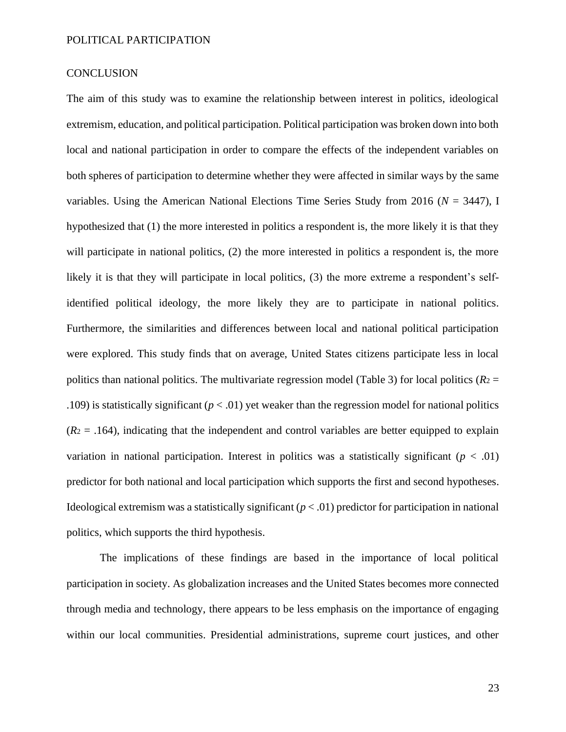#### **CONCLUSION**

The aim of this study was to examine the relationship between interest in politics, ideological extremism, education, and political participation. Political participation was broken down into both local and national participation in order to compare the effects of the independent variables on both spheres of participation to determine whether they were affected in similar ways by the same variables. Using the American National Elections Time Series Study from 2016 (*N* = 3447), I hypothesized that (1) the more interested in politics a respondent is, the more likely it is that they will participate in national politics, (2) the more interested in politics a respondent is, the more likely it is that they will participate in local politics, (3) the more extreme a respondent's selfidentified political ideology, the more likely they are to participate in national politics. Furthermore, the similarities and differences between local and national political participation were explored. This study finds that on average, United States citizens participate less in local politics than national politics. The multivariate regression model (Table 3) for local politics ( $R_2$  = .109) is statistically significant  $(p < .01)$  yet weaker than the regression model for national politics  $(R_2 = .164)$ , indicating that the independent and control variables are better equipped to explain variation in national participation. Interest in politics was a statistically significant  $(p < .01)$ predictor for both national and local participation which supports the first and second hypotheses. Ideological extremism was a statistically significant  $(p < .01)$  predictor for participation in national politics, which supports the third hypothesis.

The implications of these findings are based in the importance of local political participation in society. As globalization increases and the United States becomes more connected through media and technology, there appears to be less emphasis on the importance of engaging within our local communities. Presidential administrations, supreme court justices, and other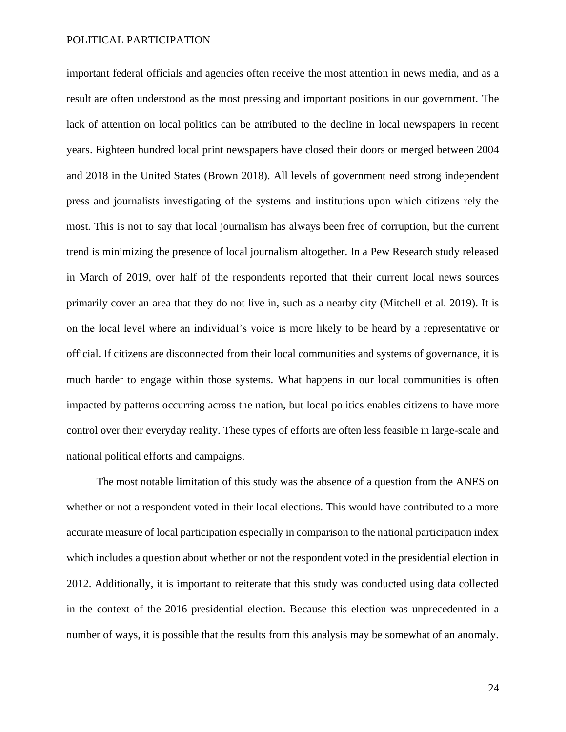important federal officials and agencies often receive the most attention in news media, and as a result are often understood as the most pressing and important positions in our government. The lack of attention on local politics can be attributed to the decline in local newspapers in recent years. Eighteen hundred local print newspapers have closed their doors or merged between 2004 and 2018 in the United States (Brown 2018). All levels of government need strong independent press and journalists investigating of the systems and institutions upon which citizens rely the most. This is not to say that local journalism has always been free of corruption, but the current trend is minimizing the presence of local journalism altogether. In a Pew Research study released in March of 2019, over half of the respondents reported that their current local news sources primarily cover an area that they do not live in, such as a nearby city (Mitchell et al. 2019). It is on the local level where an individual's voice is more likely to be heard by a representative or official. If citizens are disconnected from their local communities and systems of governance, it is much harder to engage within those systems. What happens in our local communities is often impacted by patterns occurring across the nation, but local politics enables citizens to have more control over their everyday reality. These types of efforts are often less feasible in large-scale and national political efforts and campaigns.

The most notable limitation of this study was the absence of a question from the ANES on whether or not a respondent voted in their local elections. This would have contributed to a more accurate measure of local participation especially in comparison to the national participation index which includes a question about whether or not the respondent voted in the presidential election in 2012. Additionally, it is important to reiterate that this study was conducted using data collected in the context of the 2016 presidential election. Because this election was unprecedented in a number of ways, it is possible that the results from this analysis may be somewhat of an anomaly.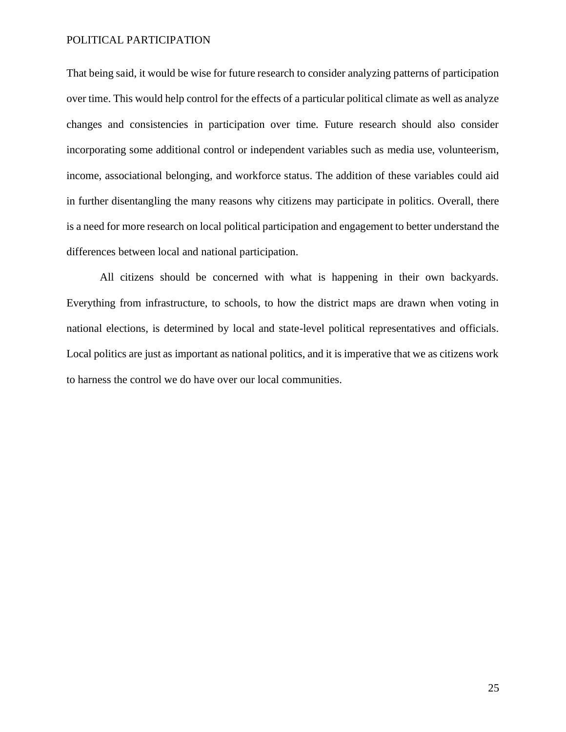That being said, it would be wise for future research to consider analyzing patterns of participation over time. This would help control for the effects of a particular political climate as well as analyze changes and consistencies in participation over time. Future research should also consider incorporating some additional control or independent variables such as media use, volunteerism, income, associational belonging, and workforce status. The addition of these variables could aid in further disentangling the many reasons why citizens may participate in politics. Overall, there is a need for more research on local political participation and engagement to better understand the differences between local and national participation.

All citizens should be concerned with what is happening in their own backyards. Everything from infrastructure, to schools, to how the district maps are drawn when voting in national elections, is determined by local and state-level political representatives and officials. Local politics are just as important as national politics, and it is imperative that we as citizens work to harness the control we do have over our local communities.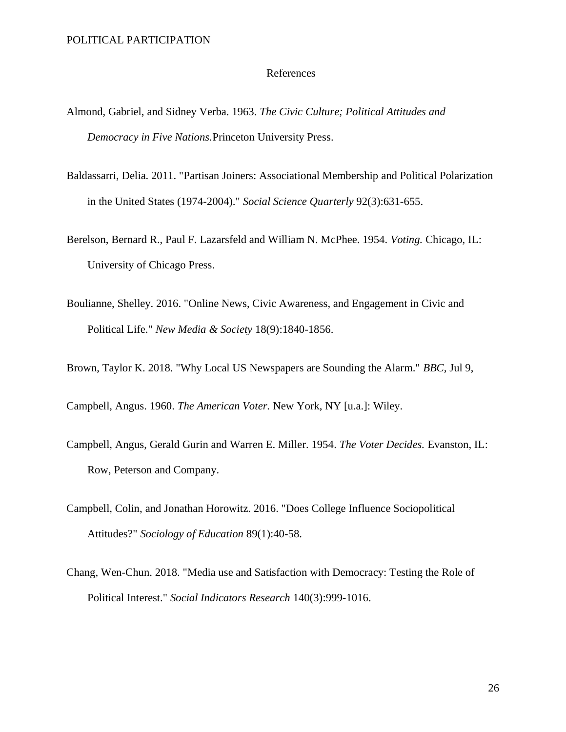#### References

- Almond, Gabriel, and Sidney Verba. 1963. *The Civic Culture; Political Attitudes and Democracy in Five Nations.*Princeton University Press.
- Baldassarri, Delia. 2011. "Partisan Joiners: Associational Membership and Political Polarization in the United States (1974-2004)." *Social Science Quarterly* 92(3):631-655.
- Berelson, Bernard R., Paul F. Lazarsfeld and William N. McPhee. 1954. *Voting.* Chicago, IL: University of Chicago Press.
- Boulianne, Shelley. 2016. "Online News, Civic Awareness, and Engagement in Civic and Political Life." *New Media & Society* 18(9):1840-1856.
- Brown, Taylor K. 2018. "Why Local US Newspapers are Sounding the Alarm." *BBC,* Jul 9,
- Campbell, Angus. 1960. *The American Voter.* New York, NY [u.a.]: Wiley.
- Campbell, Angus, Gerald Gurin and Warren E. Miller. 1954. *The Voter Decides.* Evanston, IL: Row, Peterson and Company.
- Campbell, Colin, and Jonathan Horowitz. 2016. "Does College Influence Sociopolitical Attitudes?" *Sociology of Education* 89(1):40-58.
- Chang, Wen-Chun. 2018. "Media use and Satisfaction with Democracy: Testing the Role of Political Interest." *Social Indicators Research* 140(3):999-1016.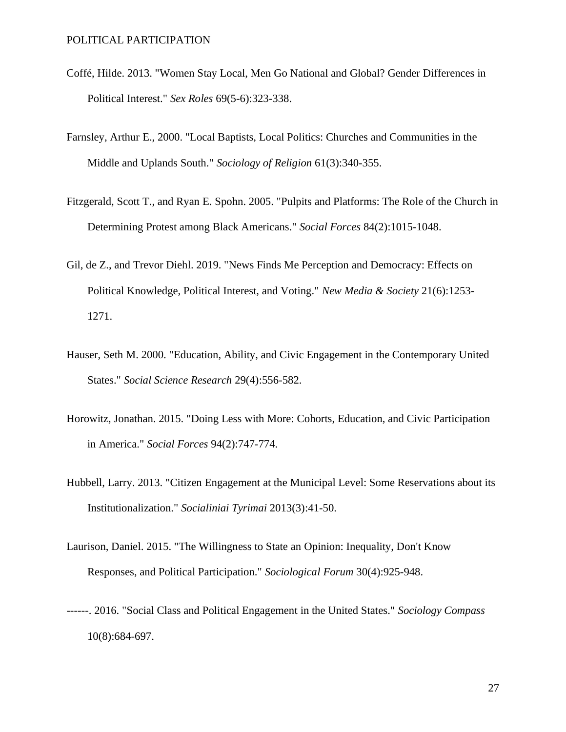- Coffé, Hilde. 2013. "Women Stay Local, Men Go National and Global? Gender Differences in Political Interest." *Sex Roles* 69(5-6):323-338.
- Farnsley, Arthur E., 2000. "Local Baptists, Local Politics: Churches and Communities in the Middle and Uplands South." *Sociology of Religion* 61(3):340-355.
- Fitzgerald, Scott T., and Ryan E. Spohn. 2005. "Pulpits and Platforms: The Role of the Church in Determining Protest among Black Americans." *Social Forces* 84(2):1015-1048.
- Gil, de Z., and Trevor Diehl. 2019. "News Finds Me Perception and Democracy: Effects on Political Knowledge, Political Interest, and Voting." *New Media & Society* 21(6):1253- 1271.
- Hauser, Seth M. 2000. "Education, Ability, and Civic Engagement in the Contemporary United States." *Social Science Research* 29(4):556-582.
- Horowitz, Jonathan. 2015. "Doing Less with More: Cohorts, Education, and Civic Participation in America." *Social Forces* 94(2):747-774.
- Hubbell, Larry. 2013. "Citizen Engagement at the Municipal Level: Some Reservations about its Institutionalization." *Socialiniai Tyrimai* 2013(3):41-50.
- Laurison, Daniel. 2015. "The Willingness to State an Opinion: Inequality, Don't Know Responses, and Political Participation." *Sociological Forum* 30(4):925-948.
- ------. 2016. "Social Class and Political Engagement in the United States." *Sociology Compass* 10(8):684-697.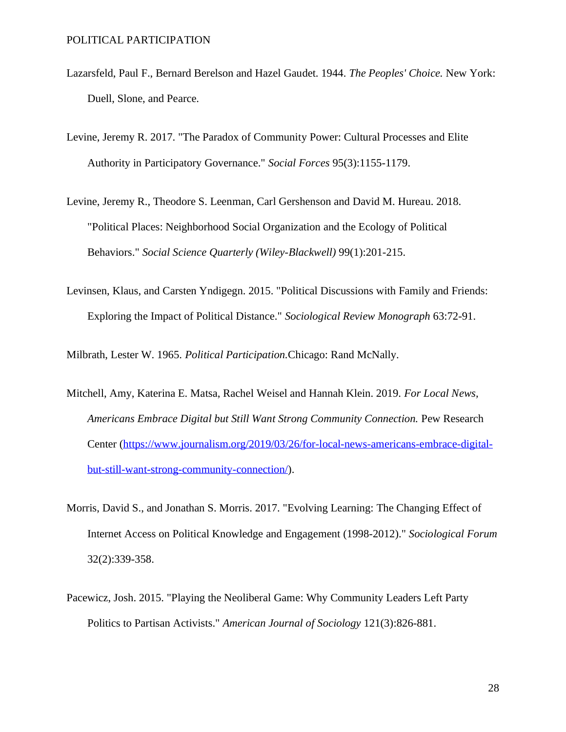- Lazarsfeld, Paul F., Bernard Berelson and Hazel Gaudet. 1944. *The Peoples' Choice.* New York: Duell, Slone, and Pearce.
- Levine, Jeremy R. 2017. "The Paradox of Community Power: Cultural Processes and Elite Authority in Participatory Governance." *Social Forces* 95(3):1155-1179.
- Levine, Jeremy R., Theodore S. Leenman, Carl Gershenson and David M. Hureau. 2018. "Political Places: Neighborhood Social Organization and the Ecology of Political Behaviors." *Social Science Quarterly (Wiley-Blackwell)* 99(1):201-215.
- Levinsen, Klaus, and Carsten Yndigegn. 2015. "Political Discussions with Family and Friends: Exploring the Impact of Political Distance." *Sociological Review Monograph* 63:72-91.

Milbrath, Lester W. 1965. *Political Participation.*Chicago: Rand McNally.

- Mitchell, Amy, Katerina E. Matsa, Rachel Weisel and Hannah Klein. 2019. *For Local News, Americans Embrace Digital but Still Want Strong Community Connection.* Pew Research Center [\(https://www.journalism.org/2019/03/26/for-local-news-americans-embrace-digital](https://www.journalism.org/2019/03/26/for-local-news-americans-embrace-digital-but-still-want-strong-community-connection/)[but-still-want-strong-community-connection/\)](https://www.journalism.org/2019/03/26/for-local-news-americans-embrace-digital-but-still-want-strong-community-connection/).
- Morris, David S., and Jonathan S. Morris. 2017. "Evolving Learning: The Changing Effect of Internet Access on Political Knowledge and Engagement (1998-2012)." *Sociological Forum* 32(2):339-358.
- Pacewicz, Josh. 2015. "Playing the Neoliberal Game: Why Community Leaders Left Party Politics to Partisan Activists." *American Journal of Sociology* 121(3):826-881.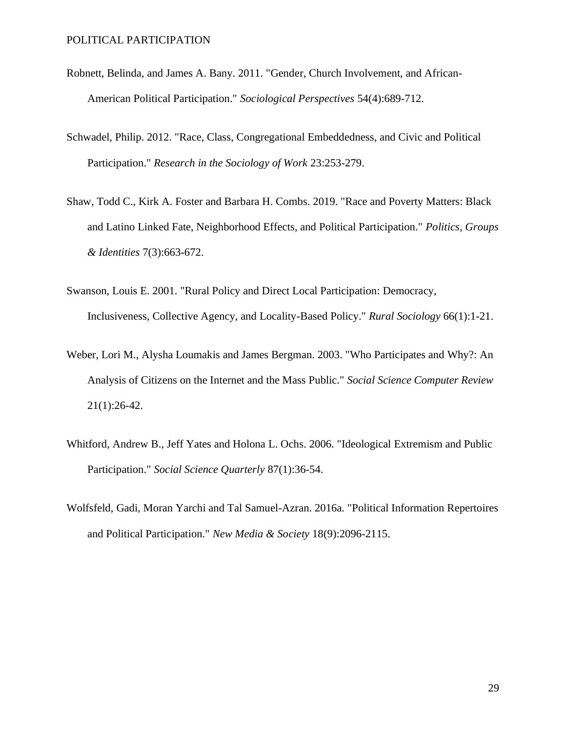- Robnett, Belinda, and James A. Bany. 2011. "Gender, Church Involvement, and African-American Political Participation." *Sociological Perspectives* 54(4):689-712.
- Schwadel, Philip. 2012. "Race, Class, Congregational Embeddedness, and Civic and Political Participation." *Research in the Sociology of Work* 23:253-279.
- Shaw, Todd C., Kirk A. Foster and Barbara H. Combs. 2019. "Race and Poverty Matters: Black and Latino Linked Fate, Neighborhood Effects, and Political Participation." *Politics, Groups & Identities* 7(3):663-672.
- Swanson, Louis E. 2001. "Rural Policy and Direct Local Participation: Democracy, Inclusiveness, Collective Agency, and Locality-Based Policy." *Rural Sociology* 66(1):1-21.
- Weber, Lori M., Alysha Loumakis and James Bergman. 2003. "Who Participates and Why?: An Analysis of Citizens on the Internet and the Mass Public." *Social Science Computer Review* 21(1):26-42.
- Whitford, Andrew B., Jeff Yates and Holona L. Ochs. 2006. "Ideological Extremism and Public Participation." *Social Science Quarterly* 87(1):36-54.
- Wolfsfeld, Gadi, Moran Yarchi and Tal Samuel-Azran. 2016a. "Political Information Repertoires and Political Participation." *New Media & Society* 18(9):2096-2115.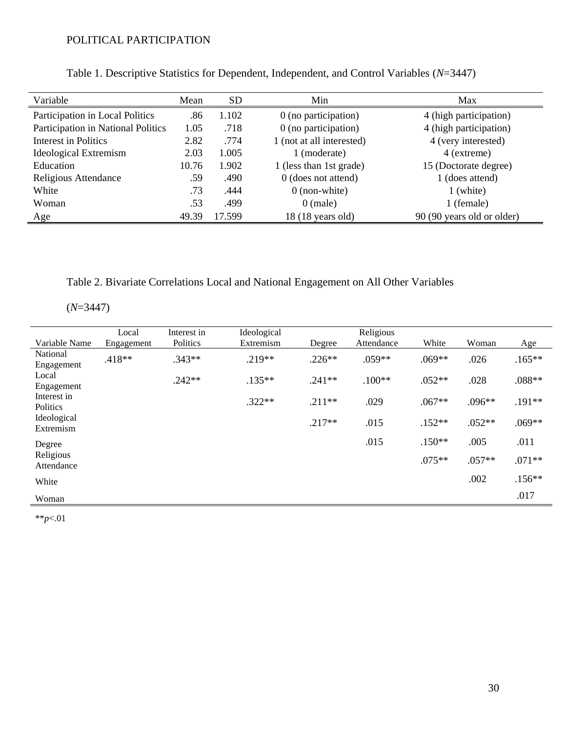| Variable                           | Mean  | <b>SD</b> | Min                       | Max                        |
|------------------------------------|-------|-----------|---------------------------|----------------------------|
| Participation in Local Politics    | .86   | 1.102     | 0 (no participation)      | 4 (high participation)     |
| Participation in National Politics | 1.05  | .718      | $0$ (no participation)    | 4 (high participation)     |
| Interest in Politics               | 2.82  | .774      | 1 (not at all interested) | 4 (very interested)        |
| Ideological Extremism              | 2.03  | 1.005     | 1 (moderate)              | 4 (extreme)                |
| Education                          | 10.76 | 1.902     | 1 (less than 1st grade)   | 15 (Doctorate degree)      |
| Religious Attendance               | .59   | .490      | 0 (does not attend)       | 1 (does attend)            |
| White                              | .73   | .444      | $0$ (non-white)           | 1 (white)                  |
| Woman                              | .53   | .499      | $0$ (male)                | 1 (female)                 |
| Age                                | 49.39 | 17.599    | 18 (18 years old)         | 90 (90 years old or older) |

Table 1. Descriptive Statistics for Dependent, Independent, and Control Variables (*N*=3447)

Table 2. Bivariate Correlations Local and National Engagement on All Other Variables

(*N*=3447)

| Variable Name            | Local<br>Engagement | Interest in<br>Politics | Ideological<br>Extremism | Degree   | Religious<br>Attendance | White    | Woman    | Age       |
|--------------------------|---------------------|-------------------------|--------------------------|----------|-------------------------|----------|----------|-----------|
| National                 | .418**              | $.343**$                | $.219**$                 | $.226**$ | $.059**$                | $.069**$ | .026     | $.165***$ |
| Engagement               |                     |                         |                          |          |                         |          |          |           |
| Local<br>Engagement      |                     | $.242**$                | $.135**$                 | $.241**$ | $.100**$                | $.052**$ | .028     | $.088**$  |
| Interest in<br>Politics  |                     |                         | $.322**$                 | $.211**$ | .029                    | $.067**$ | $.096**$ | $.191**$  |
| Ideological<br>Extremism |                     |                         |                          | $.217**$ | .015                    | $.152**$ | $.052**$ | $.069**$  |
| Degree                   |                     |                         |                          |          | .015                    | $.150**$ | .005     | .011      |
| Religious<br>Attendance  |                     |                         |                          |          |                         | $.075**$ | $.057**$ | $.071**$  |
| White                    |                     |                         |                          |          |                         |          | .002     | $.156**$  |
| Woman                    |                     |                         |                          |          |                         |          |          | .017      |

\*\**p*<.01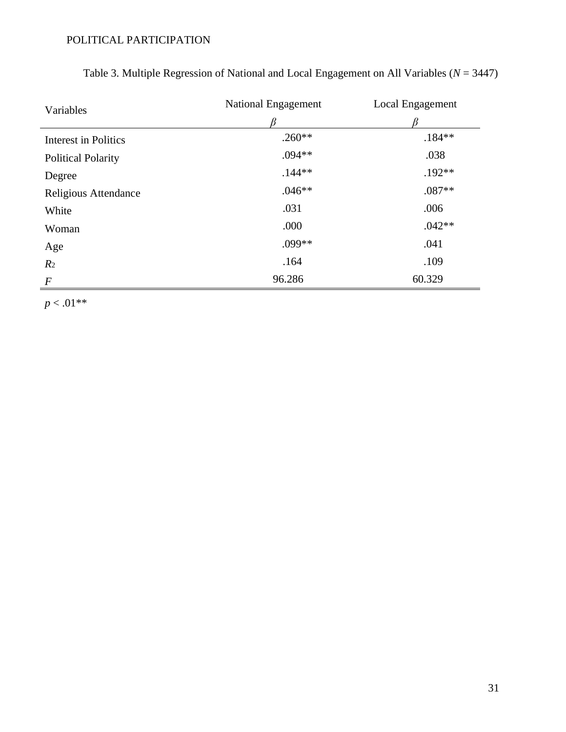| Variables                   | National Engagement | Local Engagement |  |  |
|-----------------------------|---------------------|------------------|--|--|
|                             |                     |                  |  |  |
| <b>Interest in Politics</b> | $.260**$            | $.184**$         |  |  |
| <b>Political Polarity</b>   | $.094**$            | .038             |  |  |
| Degree                      | $.144**$            | $.192**$         |  |  |
| Religious Attendance        | $.046**$            | $.087**$         |  |  |
| White                       | .031                | .006             |  |  |
| Woman                       | .000                | $.042**$         |  |  |
| Age                         | $.099**$            | .041             |  |  |
| R <sub>2</sub>              | .164                | .109             |  |  |
| $\boldsymbol{F}$            | 96.286              | 60.329           |  |  |

Table 3. Multiple Regression of National and Local Engagement on All Variables (*N* = 3447)

 $p < .01**$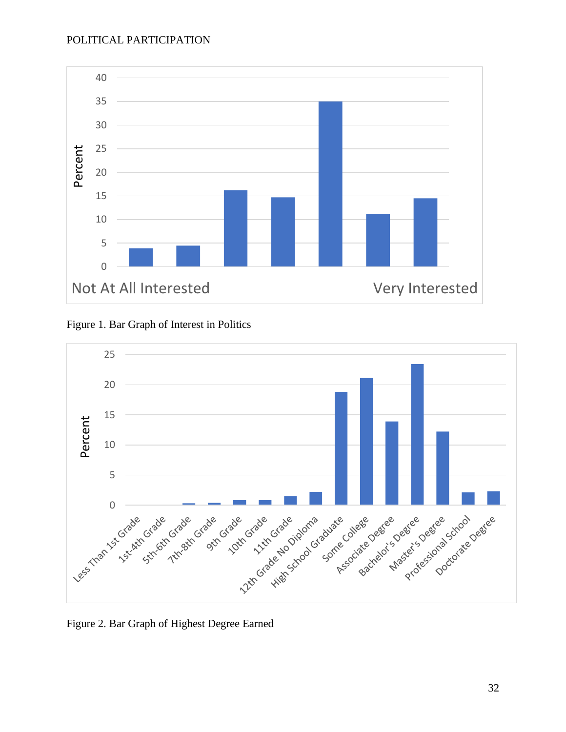



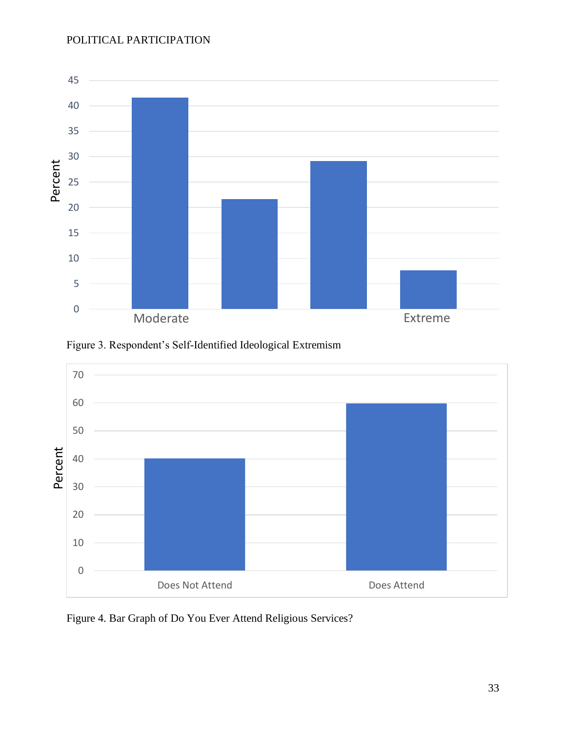

Figure 3. Respondent's Self-Identified Ideological Extremism



Figure 4. Bar Graph of Do You Ever Attend Religious Services?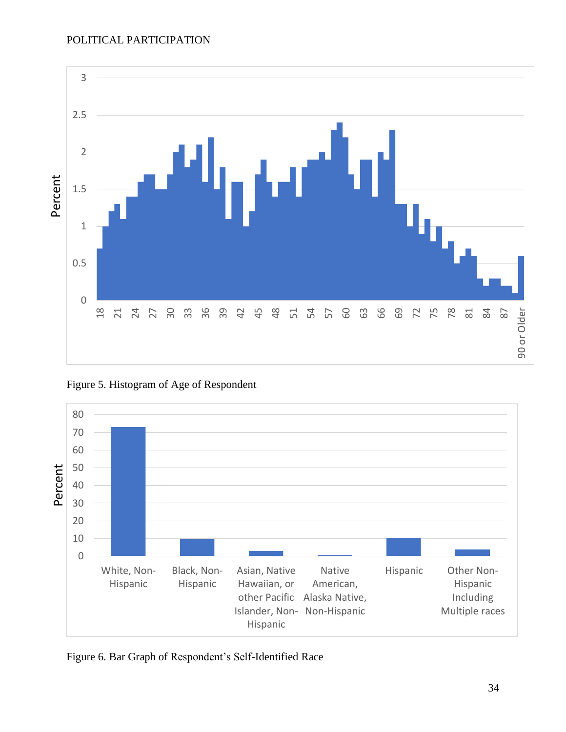

Figure 5. Histogram of Age of Respondent



Figure 6. Bar Graph of Respondent's Self-Identified Race